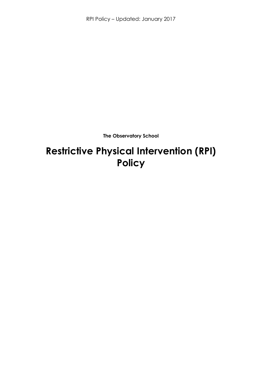RPI Policy – Updated: January 2017

**The Observatory School**

# **Restrictive Physical Intervention (RPI) Policy**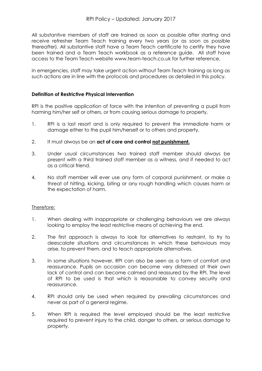All substantive members of staff are trained as soon as possible after starting and receive refresher Team Teach training every two years (or as soon as possible thereafter). All substantive staff have a Team Teach certificate to certify they have been trained and a Team Teach workbook as a reference guide. All staff have access to the Team Teach website www.team-teach.co.uk for further reference.

In emergencies, staff may take urgent action without Team Teach training as long as such actions are in line with the protocols and procedures as detailed in this policy.

## **Definition of Restrictive Physical Intervention**

RPI is the positive application of force with the intention of preventing a pupil from harming him/her self or others, or from causing serious damage to property.

- 1. RPI is a last resort and is only required to prevent the immediate harm or damage either to the pupil him/herself or to others and property.
- 2. It must always be an **act of care and control not punishment.**
- 3. Under usual circumstances two trained staff member should always be present with a third trained staff member as a witness, and if needed to act as a critical friend.
- 4. No staff member will ever use any form of corporal punishment, or make a threat of hitting, kicking, biting or any rough handling which causes harm or the expectation of harm.

#### Therefore:

- 1. When dealing with inappropriate or challenging behaviours we are always looking to employ the least restrictive means of achieving the end.
- 2. The first approach is always to look for alternatives to restraint, to try to deescalate situations and circumstances in which these behaviours may arise, to prevent them, and to teach appropriate alternatives.
- 3. In some situations however, RPI can also be seen as a form of comfort and reassurance. Pupils on occasion can become very distressed at their own lack of control and can become calmed and reassured by the RPI. The level of RPI to be used is that which is reasonable to convey security and reassurance.
- 4. RPI should only be used when required by prevailing circumstances and never as part of a general regime.
- 5. When RPI is required the level employed should be the least restrictive required to prevent injury to the child, danger to others, or serious damage to property.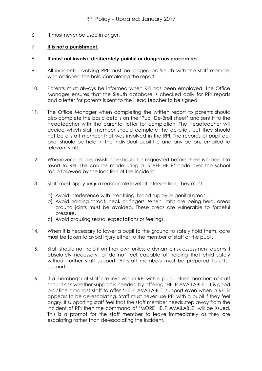6. It must never be used in anger.

## 7. **It is not a punishment**.

#### 8. **It must not involve deliberately painful or dangerous procedures**.

- 9. All incidents involving RPI must be logged on Sleuth with the staff member who actioned the hold completing the report.
- 10. Parents must always be informed when RPI has been employed. The Office Manager ensures that the Sleuth database is checked daily for RPI reports and a letter for parents is sent to the Head teacher to be signed.
- 11. The Office Manager when completing the written report to parents should also complete the basic details on the 'Pupil De-Breif sheet' and sent it to the Headteacher with the parental letter for completion. The Headteacher will decide which staff member should complete the de-brief, but they should not be a staff member that was involved in the RPI. The records of pupil debrief should be held in the individual pupil file and any actions emailed to relevant staff.
- 12. Whenever possible, assistance should be requested before there is a need to resort to RPI. This can be made using a 'STAFF HELP' code over the school radio followed by the location of the incident
- 13. Staff must apply **only** a reasonable level of intervention, They must:
	- a) Avoid interference with breathing, blood supply or genital areas.
	- b) Avoid holding throat, neck or fingers. When limbs are being held, areas around joints must be avoided. These areas are vulnerable to forceful pressure.
	- c) Avoid arousing sexual expectations or feelings.
- 14. When it is necessary to lower a pupil to the ground to safely hold them, care must be taken to avoid injury either to the member of staff or the pupil.
- 15. Staff should not hold if on their own unless a dynamic risk assessment deems it absolutely necessary, or do not feel capable of holding that child safely without further staff support. All staff members must be prepared to offer support.
- 16. If a member(s) of staff are involved in RPI with a pupil, other members of staff should ask whether support is needed by offering 'HELP AVAILABLE'. It is good practice amongst staff to offer 'HELP AVAILABLE' support even when a RPI is appears to be de-escalating. Staff must never use RPI with a pupil if they feel angry. If supporting staff feel that the staff member needs step away from the incident of RPI then the command of 'MORE HELP AVAILABLE' will be issued. This is a prompt for the staff member to leave immediately as they are escalating rather than de-escalating the incident.